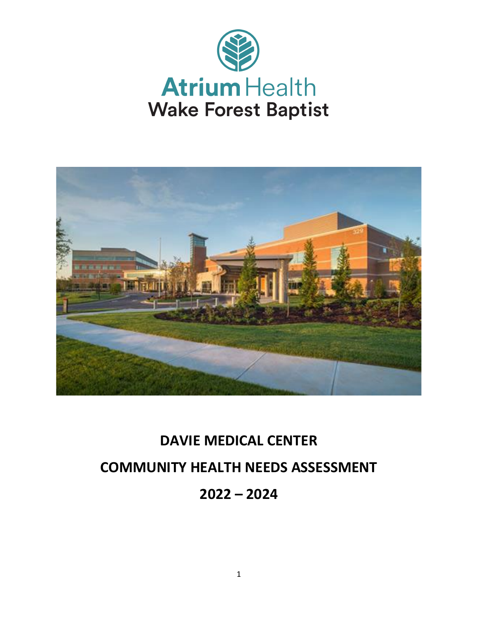



# **DAVIE MEDICAL CENTER COMMUNITY HEALTH NEEDS ASSESSMENT 2022 – 2024**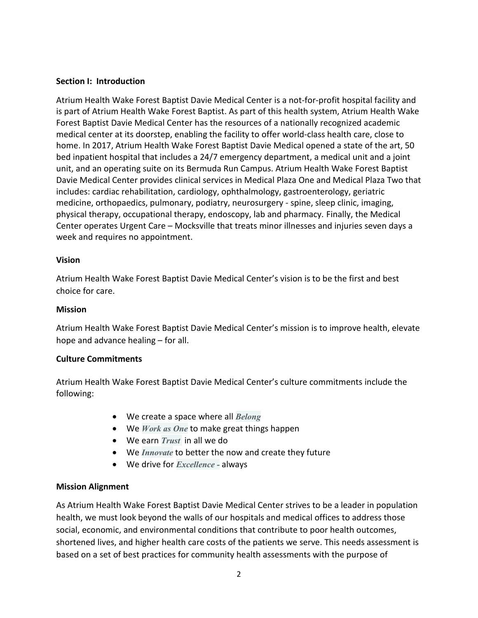#### **Section I: Introduction**

Atrium Health Wake Forest Baptist Davie Medical Center is a not-for-profit hospital facility and is part of Atrium Health Wake Forest Baptist. As part of this health system, Atrium Health Wake Forest Baptist Davie Medical Center has the resources of a nationally recognized academic medical center at its doorstep, enabling the facility to offer world-class health care, close to home. In 2017, Atrium Health Wake Forest Baptist Davie Medical opened a state of the art, 50 bed inpatient hospital that includes a 24/7 emergency department, a medical unit and a joint unit, and an operating suite on its Bermuda Run Campus. Atrium Health Wake Forest Baptist Davie Medical Center provides clinical services in Medical Plaza One and Medical Plaza Two that includes: cardiac rehabilitation, cardiology, ophthalmology, gastroenterology, geriatric medicine, orthopaedics, pulmonary, podiatry, neurosurgery - spine, sleep clinic, imaging, physical therapy, occupational therapy, endoscopy, lab and pharmacy. Finally, the Medical Center operates Urgent Care – Mocksville that treats minor illnesses and injuries seven days a week and requires no appointment.

#### **Vision**

Atrium Health Wake Forest Baptist Davie Medical Center's vision is to be the first and best choice for care.

## **Mission**

Atrium Health Wake Forest Baptist Davie Medical Center's mission is to improve health, elevate hope and advance healing – for all.

# **Culture Commitments**

Atrium Health Wake Forest Baptist Davie Medical Center's culture commitments include the following:

- We create a space where all *Belong*
- We *Work as One* to make great things happen
- We earn *Trust* in all we do
- We *Innovate* to better the now and create they future
- We drive for *Excellence -* always

# **Mission Alignment**

As Atrium Health Wake Forest Baptist Davie Medical Center strives to be a leader in population health, we must look beyond the walls of our hospitals and medical offices to address those social, economic, and environmental conditions that contribute to poor health outcomes, shortened lives, and higher health care costs of the patients we serve. This needs assessment is based on a set of best practices for community health assessments with the purpose of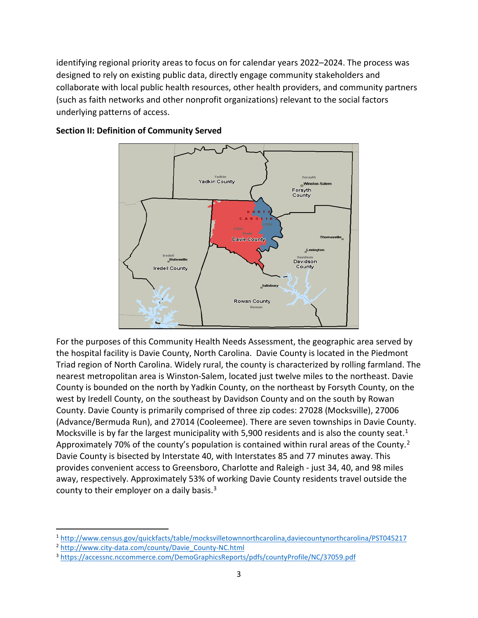identifying regional priority areas to focus on for calendar years 2022–2024. The process was designed to rely on existing public data, directly engage community stakeholders and collaborate with local public health resources, other health providers, and community partners (such as faith networks and other nonprofit organizations) relevant to the social factors underlying patterns of access.



#### **Section II: Definition of Community Served**

For the purposes of this Community Health Needs Assessment, the geographic area served by the hospital facility is Davie County, North Carolina. Davie County is located in the Piedmont Triad region of North Carolina. Widely rural, the county is characterized by rolling farmland. The nearest metropolitan area is Winston-Salem, located just twelve miles to the northeast. Davie County is bounded on the north by Yadkin County, on the northeast by Forsyth County, on the west by Iredell County, on the southeast by Davidson County and on the south by Rowan County. Davie County is primarily comprised of three zip codes: 27028 (Mocksville), 27006 (Advance/Bermuda Run), and 27014 (Cooleemee). There are seven townships in Davie County. Mocksville is by far the largest municipality with 5,900 residents and is also the county seat.<sup>[1](#page-2-0)</sup> Approximately 70% of the county's population is contained within rural areas of the County.<sup>[2](#page-2-1)</sup> Davie County is bisected by Interstate 40, with Interstates 85 and 77 minutes away. This provides convenient access to Greensboro, Charlotte and Raleigh - just 34, 40, and 98 miles away, respectively. Approximately 53% of working Davie County residents travel outside the county to their employer on a daily basis. $3$ 

<span id="page-2-0"></span> <sup>1</sup> <http://www.census.gov/quickfacts/table/mocksvilletownnorthcarolina,daviecountynorthcarolina/PST045217>

<span id="page-2-1"></span><sup>2</sup> [http://www.city-data.com/county/Davie\\_County-NC.html](http://www.city-data.com/county/Davie_County-NC.html)

<span id="page-2-2"></span><sup>3</sup> <https://accessnc.nccommerce.com/DemoGraphicsReports/pdfs/countyProfile/NC/37059.pdf>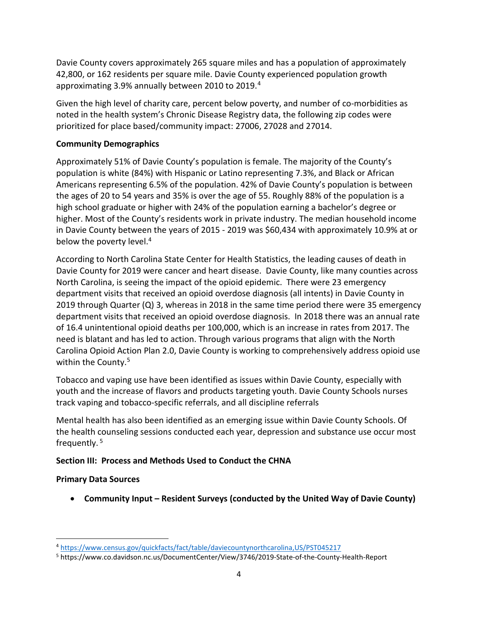Davie County covers approximately 265 square miles and has a population of approximately 42,800, or 162 residents per square mile. Davie County experienced population growth approximating 3.9% annually between 2010 to 2019. [4](#page-3-0)

Given the high level of charity care, percent below poverty, and number of co-morbidities as noted in the health system's Chronic Disease Registry data, the following zip codes were prioritized for place based/community impact: 27006, 27028 and 27014.

# **Community Demographics**

Approximately 51% of Davie County's population is female. The majority of the County's population is white (84%) with Hispanic or Latino representing 7.3%, and Black or African Americans representing 6.5% of the population. 42% of Davie County's population is between the ages of 20 to 54 years and 35% is over the age of 55. Roughly 88% of the population is a high school graduate or higher with 24% of the population earning a bachelor's degree or higher. Most of the County's residents work in private industry. The median household income in Davie County between the years of 2015 - 2019 was \$60,434 with approximately 10.9% at or below the poverty level.<sup>4</sup>

According to North Carolina State Center for Health Statistics, the leading causes of death in Davie County for 2019 were cancer and heart disease. Davie County, like many counties across North Carolina, is seeing the impact of the opioid epidemic. There were 23 emergency department visits that received an opioid overdose diagnosis (all intents) in Davie County in 2019 through Quarter (Q) 3, whereas in 2018 in the same time period there were 35 emergency department visits that received an opioid overdose diagnosis. In 2018 there was an annual rate of 16.4 unintentional opioid deaths per 100,000, which is an increase in rates from 2017. The need is blatant and has led to action. Through various programs that align with the North Carolina Opioid Action Plan 2.0, Davie County is working to comprehensively address opioid use within the County. [5](#page-3-1)

Tobacco and vaping use have been identified as issues within Davie County, especially with youth and the increase of flavors and products targeting youth. Davie County Schools nurses track vaping and tobacco-specific referrals, and all discipline referrals

Mental health has also been identified as an emerging issue within Davie County Schools. Of the health counseling sessions conducted each year, depression and substance use occur most frequently. <sup>5</sup>

# **Section III: Process and Methods Used to Conduct the CHNA**

# **Primary Data Sources**

• **Community Input – Resident Surveys (conducted by the United Way of Davie County)**

<span id="page-3-0"></span> <sup>4</sup> <https://www.census.gov/quickfacts/fact/table/daviecountynorthcarolina,US/PST045217>

<span id="page-3-1"></span><sup>5</sup> https://www.co.davidson.nc.us/DocumentCenter/View/3746/2019-State-of-the-County-Health-Report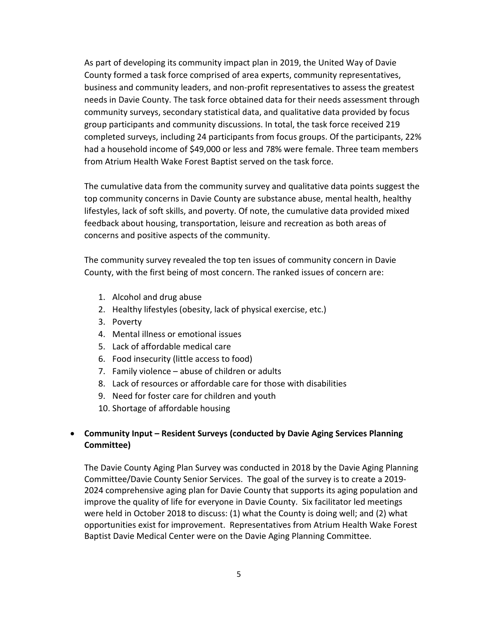As part of developing its community impact plan in 2019, the United Way of Davie County formed a task force comprised of area experts, community representatives, business and community leaders, and non-profit representatives to assess the greatest needs in Davie County. The task force obtained data for their needs assessment through community surveys, secondary statistical data, and qualitative data provided by focus group participants and community discussions. In total, the task force received 219 completed surveys, including 24 participants from focus groups. Of the participants, 22% had a household income of \$49,000 or less and 78% were female. Three team members from Atrium Health Wake Forest Baptist served on the task force.

The cumulative data from the community survey and qualitative data points suggest the top community concerns in Davie County are substance abuse, mental health, healthy lifestyles, lack of soft skills, and poverty. Of note, the cumulative data provided mixed feedback about housing, transportation, leisure and recreation as both areas of concerns and positive aspects of the community.

The community survey revealed the top ten issues of community concern in Davie County, with the first being of most concern. The ranked issues of concern are:

- 1. Alcohol and drug abuse
- 2. Healthy lifestyles (obesity, lack of physical exercise, etc.)
- 3. Poverty
- 4. Mental illness or emotional issues
- 5. Lack of affordable medical care
- 6. Food insecurity (little access to food)
- 7. Family violence abuse of children or adults
- 8. Lack of resources or affordable care for those with disabilities
- 9. Need for foster care for children and youth
- 10. Shortage of affordable housing

# • **Community Input – Resident Surveys (conducted by Davie Aging Services Planning Committee)**

The Davie County Aging Plan Survey was conducted in 2018 by the Davie Aging Planning Committee/Davie County Senior Services. The goal of the survey is to create a 2019- 2024 comprehensive aging plan for Davie County that supports its aging population and improve the quality of life for everyone in Davie County. Six facilitator led meetings were held in October 2018 to discuss: (1) what the County is doing well; and (2) what opportunities exist for improvement. Representatives from Atrium Health Wake Forest Baptist Davie Medical Center were on the Davie Aging Planning Committee.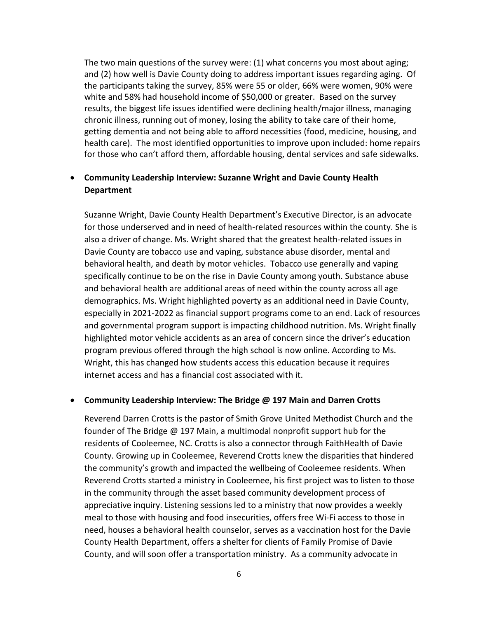The two main questions of the survey were: (1) what concerns you most about aging; and (2) how well is Davie County doing to address important issues regarding aging. Of the participants taking the survey, 85% were 55 or older, 66% were women, 90% were white and 58% had household income of \$50,000 or greater. Based on the survey results, the biggest life issues identified were declining health/major illness, managing chronic illness, running out of money, losing the ability to take care of their home, getting dementia and not being able to afford necessities (food, medicine, housing, and health care). The most identified opportunities to improve upon included: home repairs for those who can't afford them, affordable housing, dental services and safe sidewalks.

# • **Community Leadership Interview: Suzanne Wright and Davie County Health Department**

Suzanne Wright, Davie County Health Department's Executive Director, is an advocate for those underserved and in need of health-related resources within the county. She is also a driver of change. Ms. Wright shared that the greatest health-related issues in Davie County are tobacco use and vaping, substance abuse disorder, mental and behavioral health, and death by motor vehicles. Tobacco use generally and vaping specifically continue to be on the rise in Davie County among youth. Substance abuse and behavioral health are additional areas of need within the county across all age demographics. Ms. Wright highlighted poverty as an additional need in Davie County, especially in 2021-2022 as financial support programs come to an end. Lack of resources and governmental program support is impacting childhood nutrition. Ms. Wright finally highlighted motor vehicle accidents as an area of concern since the driver's education program previous offered through the high school is now online. According to Ms. Wright, this has changed how students access this education because it requires internet access and has a financial cost associated with it.

#### • **Community Leadership Interview: The Bridge @ 197 Main and Darren Crotts**

Reverend Darren Crotts is the pastor of Smith Grove United Methodist Church and the founder of The Bridge @ 197 Main, a multimodal nonprofit support hub for the residents of Cooleemee, NC. Crotts is also a connector through FaithHealth of Davie County. Growing up in Cooleemee, Reverend Crotts knew the disparities that hindered the community's growth and impacted the wellbeing of Cooleemee residents. When Reverend Crotts started a ministry in Cooleemee, his first project was to listen to those in the community through the asset based community development process of appreciative inquiry. Listening sessions led to a ministry that now provides a weekly meal to those with housing and food insecurities, offers free Wi-Fi access to those in need, houses a behavioral health counselor, serves as a vaccination host for the Davie County Health Department, offers a shelter for clients of Family Promise of Davie County, and will soon offer a transportation ministry. As a community advocate in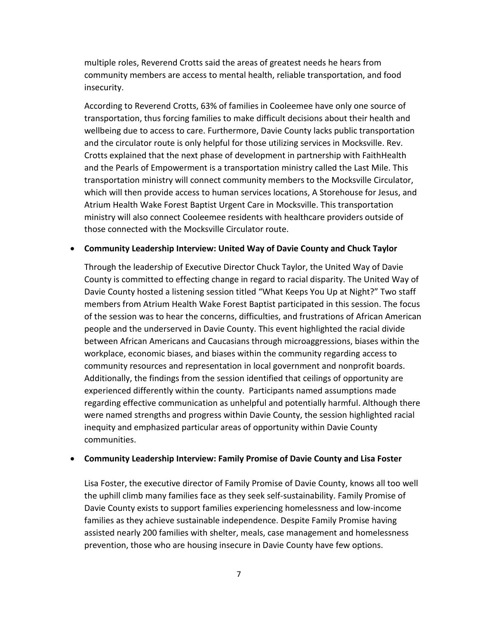multiple roles, Reverend Crotts said the areas of greatest needs he hears from community members are access to mental health, reliable transportation, and food insecurity.

According to Reverend Crotts, 63% of families in Cooleemee have only one source of transportation, thus forcing families to make difficult decisions about their health and wellbeing due to access to care. Furthermore, Davie County lacks public transportation and the circulator route is only helpful for those utilizing services in Mocksville. Rev. Crotts explained that the next phase of development in partnership with FaithHealth and the Pearls of Empowerment is a transportation ministry called the Last Mile. This transportation ministry will connect community members to the Mocksville Circulator, which will then provide access to human services locations, A Storehouse for Jesus, and Atrium Health Wake Forest Baptist Urgent Care in Mocksville. This transportation ministry will also connect Cooleemee residents with healthcare providers outside of those connected with the Mocksville Circulator route.

#### • **Community Leadership Interview: United Way of Davie County and Chuck Taylor**

Through the leadership of Executive Director Chuck Taylor, the United Way of Davie County is committed to effecting change in regard to racial disparity. The United Way of Davie County hosted a listening session titled "What Keeps You Up at Night?" Two staff members from Atrium Health Wake Forest Baptist participated in this session. The focus of the session was to hear the concerns, difficulties, and frustrations of African American people and the underserved in Davie County. This event highlighted the racial divide between African Americans and Caucasians through microaggressions, biases within the workplace, economic biases, and biases within the community regarding access to community resources and representation in local government and nonprofit boards. Additionally, the findings from the session identified that ceilings of opportunity are experienced differently within the county. Participants named assumptions made regarding effective communication as unhelpful and potentially harmful. Although there were named strengths and progress within Davie County, the session highlighted racial inequity and emphasized particular areas of opportunity within Davie County communities.

#### • **Community Leadership Interview: Family Promise of Davie County and Lisa Foster**

Lisa Foster, the executive director of Family Promise of Davie County, knows all too well the uphill climb many families face as they seek self-sustainability. Family Promise of Davie County exists to support families experiencing homelessness and low-income families as they achieve sustainable independence. Despite Family Promise having assisted nearly 200 families with shelter, meals, case management and homelessness prevention, those who are housing insecure in Davie County have few options.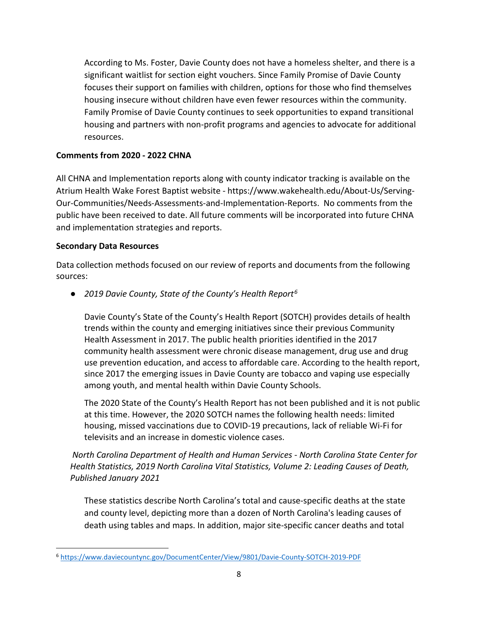According to Ms. Foster, Davie County does not have a homeless shelter, and there is a significant waitlist for section eight vouchers. Since Family Promise of Davie County focuses their support on families with children, options for those who find themselves housing insecure without children have even fewer resources within the community. Family Promise of Davie County continues to seek opportunities to expand transitional housing and partners with non-profit programs and agencies to advocate for additional resources.

# **Comments from 2020 - 2022 CHNA**

All CHNA and Implementation reports along with county indicator tracking is available on the Atrium Health Wake Forest Baptist website - [https://www.wakehealth.edu/About-Us/Serving-](https://www.wakehealth.edu/About-Us/Serving-Our-Communities/Needs-Assessments-and-Implementation-Reports)[Our-Communities/Needs-Assessments-and-Implementation-Reports.](https://www.wakehealth.edu/About-Us/Serving-Our-Communities/Needs-Assessments-and-Implementation-Reports) No comments from the public have been received to date. All future comments will be incorporated into future CHNA and implementation strategies and reports.

# **Secondary Data Resources**

Data collection methods focused on our review of reports and documents from the following sources:

● *2019 Davie County, State of the County's Health Report[6](#page-7-0)*

Davie County's State of the County's Health Report (SOTCH) provides details of health trends within the county and emerging initiatives since their previous Community Health Assessment in 2017. The public health priorities identified in the 2017 community health assessment were chronic disease management, drug use and drug use prevention education, and access to affordable care. According to the health report, since 2017 the emerging issues in Davie County are tobacco and vaping use especially among youth, and mental health within Davie County Schools.

The 2020 State of the County's Health Report has not been published and it is not public at this time. However, the 2020 SOTCH names the following health needs: limited housing, missed vaccinations due to COVID-19 precautions, lack of reliable Wi-Fi for televisits and an increase in domestic violence cases.

*North Carolina Department of Health and Human Services - North Carolina State Center for Health Statistics, 2019 North Carolina Vital Statistics, Volume 2: Leading Causes of Death, Published January 2021*

These statistics describe North Carolina's total and cause-specific deaths at the state and county level, depicting more than a dozen of North Carolina's leading causes of death using tables and maps. In addition, major site-specific cancer deaths and total

<span id="page-7-0"></span> <sup>6</sup> <https://www.daviecountync.gov/DocumentCenter/View/9801/Davie-County-SOTCH-2019-PDF>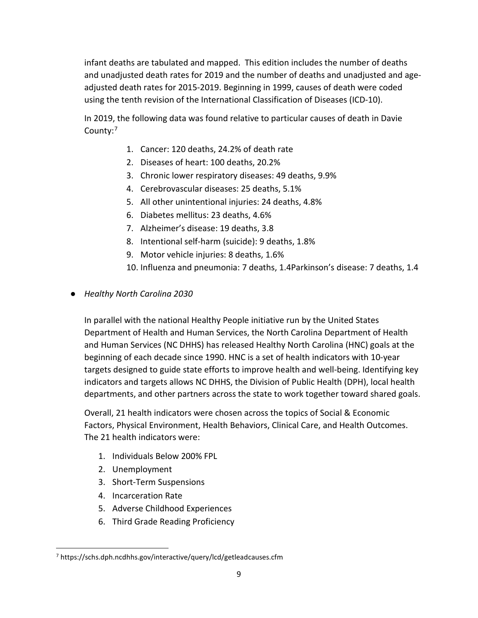infant deaths are tabulated and mapped. This edition includes the number of deaths and unadjusted death rates for 2019 and the number of deaths and unadjusted and ageadjusted death rates for 2015-2019. Beginning in 1999, causes of death were coded using the tenth revision of the International Classification of Diseases (ICD-10).

In 2019, the following data was found relative to particular causes of death in Davie County:<sup>[7](#page-8-0)</sup>

- 1. Cancer: 120 deaths, 24.2% of death rate
- 2. Diseases of heart: 100 deaths, 20.2%
- 3. Chronic lower respiratory diseases: 49 deaths, 9.9%
- 4. Cerebrovascular diseases: 25 deaths, 5.1%
- 5. All other unintentional injuries: 24 deaths, 4.8%
- 6. Diabetes mellitus: 23 deaths, 4.6%
- 7. Alzheimer's disease: 19 deaths, 3.8
- 8. Intentional self-harm (suicide): 9 deaths, 1.8%
- 9. Motor vehicle injuries: 8 deaths, 1.6%
- 10. Influenza and pneumonia: 7 deaths, 1.4Parkinson's disease: 7 deaths, 1.4
- *Healthy North Carolina 2030*

In parallel with the national Healthy People initiative run by the United States Department of Health and Human Services, the North Carolina Department of Health and Human Services (NC DHHS) has released Healthy North Carolina (HNC) goals at the beginning of each decade since 1990. HNC is a set of health indicators with 10-year targets designed to guide state efforts to improve health and well-being. Identifying key indicators and targets allows NC DHHS, the Division of Public Health (DPH), local health departments, and other partners across the state to work together toward shared goals.

Overall, 21 health indicators were chosen across the topics of Social & Economic Factors, Physical Environment, Health Behaviors, Clinical Care, and Health Outcomes. The 21 health indicators were:

- 1. Individuals Below 200% FPL
- 2. Unemployment
- 3. Short-Term Suspensions
- 4. Incarceration Rate
- 5. Adverse Childhood Experiences
- 6. Third Grade Reading Proficiency

<span id="page-8-0"></span> <sup>7</sup> https://schs.dph.ncdhhs.gov/interactive/query/lcd/getleadcauses.cfm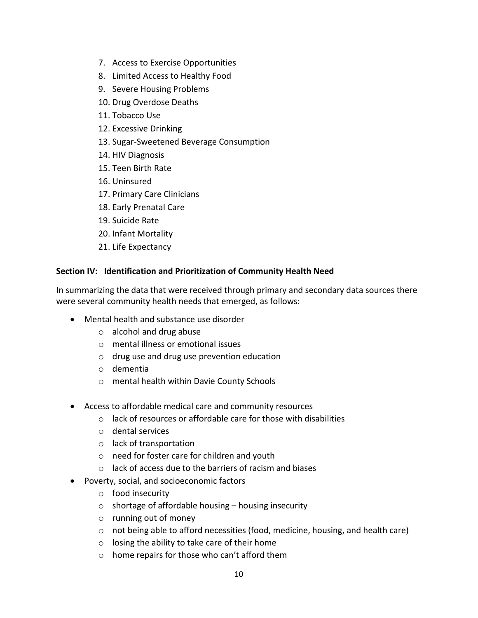- 7. Access to Exercise Opportunities
- 8. Limited Access to Healthy Food
- 9. Severe Housing Problems
- 10. Drug Overdose Deaths
- 11. Tobacco Use
- 12. Excessive Drinking
- 13. Sugar-Sweetened Beverage Consumption
- 14. HIV Diagnosis
- 15. Teen Birth Rate
- 16. Uninsured
- 17. Primary Care Clinicians
- 18. Early Prenatal Care
- 19. Suicide Rate
- 20. Infant Mortality
- 21. Life Expectancy

#### **Section IV: Identification and Prioritization of Community Health Need**

In summarizing the data that were received through primary and secondary data sources there were several community health needs that emerged, as follows:

- Mental health and substance use disorder
	- o alcohol and drug abuse
	- o mental illness or emotional issues
	- o drug use and drug use prevention education
	- o dementia
	- o mental health within Davie County Schools
- Access to affordable medical care and community resources
	- o lack of resources or affordable care for those with disabilities
	- o dental services
	- o lack of transportation
	- o need for foster care for children and youth
	- o lack of access due to the barriers of racism and biases
- Poverty, social, and socioeconomic factors
	- o food insecurity
	- $\circ$  shortage of affordable housing housing insecurity
	- o running out of money
	- o not being able to afford necessities (food, medicine, housing, and health care)
	- o losing the ability to take care of their home
	- o home repairs for those who can't afford them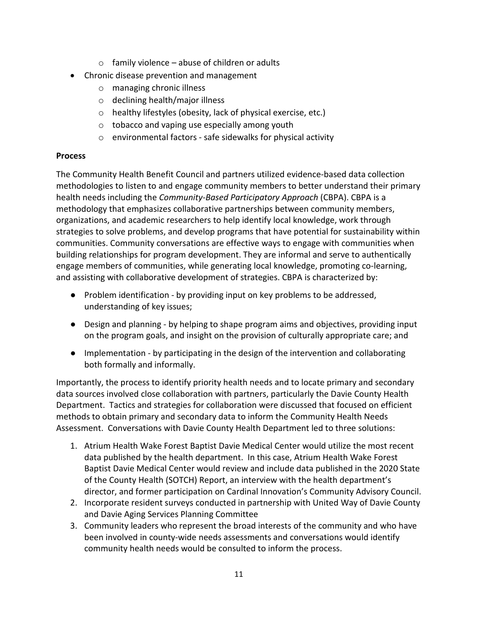- $\circ$  family violence abuse of children or adults
- Chronic disease prevention and management
	- o managing chronic illness
	- o declining health/major illness
	- o healthy lifestyles (obesity, lack of physical exercise, etc.)
	- o tobacco and vaping use especially among youth
	- o environmental factors safe sidewalks for physical activity

#### **Process**

The Community Health Benefit Council and partners utilized evidence-based data collection methodologies to listen to and engage community members to better understand their primary health needs including the *Community-Based Participatory Approach* (CBPA). CBPA is a methodology that emphasizes collaborative partnerships between community members, organizations, and academic researchers to help identify local knowledge, work through strategies to solve problems, and develop programs that have potential for sustainability within communities. Community conversations are effective ways to engage with communities when building relationships for program development. They are informal and serve to authentically engage members of communities, while generating local knowledge, promoting co-learning, and assisting with collaborative development of strategies. CBPA is characterized by:

- Problem identification by providing input on key problems to be addressed, understanding of key issues;
- Design and planning by helping to shape program aims and objectives, providing input on the program goals, and insight on the provision of culturally appropriate care; and
- Implementation by participating in the design of the intervention and collaborating both formally and informally.

Importantly, the process to identify priority health needs and to locate primary and secondary data sources involved close collaboration with partners, particularly the Davie County Health Department. Tactics and strategies for collaboration were discussed that focused on efficient methods to obtain primary and secondary data to inform the Community Health Needs Assessment. Conversations with Davie County Health Department led to three solutions:

- 1. Atrium Health Wake Forest Baptist Davie Medical Center would utilize the most recent data published by the health department. In this case, Atrium Health Wake Forest Baptist Davie Medical Center would review and include data published in the 2020 State of the County Health (SOTCH) Report, an interview with the health department's director, and former participation on Cardinal Innovation's Community Advisory Council.
- 2. Incorporate resident surveys conducted in partnership with United Way of Davie County and Davie Aging Services Planning Committee
- 3. Community leaders who represent the broad interests of the community and who have been involved in county-wide needs assessments and conversations would identify community health needs would be consulted to inform the process.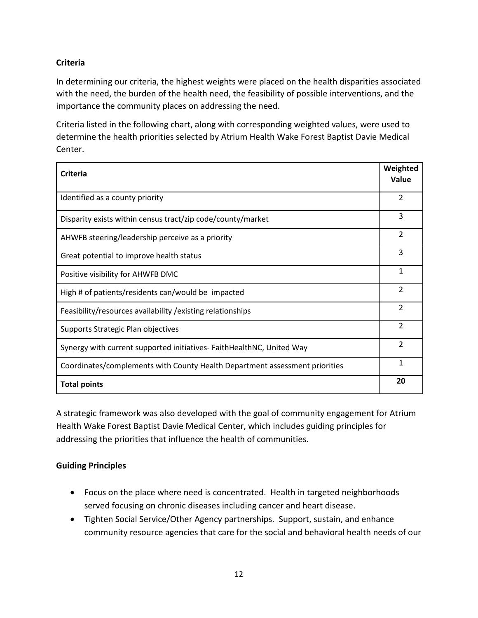# **Criteria**

In determining our criteria, the highest weights were placed on the health disparities associated with the need, the burden of the health need, the feasibility of possible interventions, and the importance the community places on addressing the need.

Criteria listed in the following chart, along with corresponding weighted values, were used to determine the health priorities selected by Atrium Health Wake Forest Baptist Davie Medical Center.

| <b>Criteria</b>                                                             | Weighted<br>Value |
|-----------------------------------------------------------------------------|-------------------|
|                                                                             |                   |
| Identified as a county priority                                             | $\mathfrak{p}$    |
| Disparity exists within census tract/zip code/county/market                 | 3                 |
| AHWFB steering/leadership perceive as a priority                            | $\mathfrak{p}$    |
| Great potential to improve health status                                    | 3                 |
| Positive visibility for AHWFB DMC                                           | 1                 |
| High # of patients/residents can/would be impacted                          | $\mathfrak{p}$    |
| Feasibility/resources availability / existing relationships                 | $\mathcal{P}$     |
| Supports Strategic Plan objectives                                          | $\mathfrak{p}$    |
| Synergy with current supported initiatives- FaithHealthNC, United Way       | $\mathfrak{p}$    |
| Coordinates/complements with County Health Department assessment priorities | 1                 |
| <b>Total points</b>                                                         | 20                |

A strategic framework was also developed with the goal of community engagement for Atrium Health Wake Forest Baptist Davie Medical Center, which includes guiding principles for addressing the priorities that influence the health of communities.

# **Guiding Principles**

- Focus on the place where need is concentrated. Health in targeted neighborhoods served focusing on chronic diseases including cancer and heart disease.
- Tighten Social Service/Other Agency partnerships. Support, sustain, and enhance community resource agencies that care for the social and behavioral health needs of our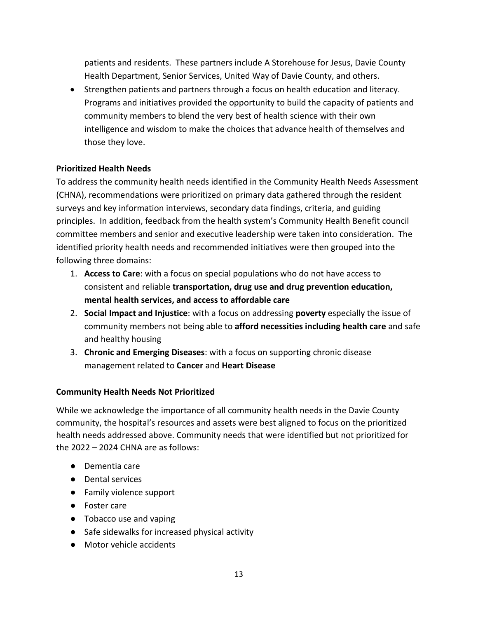patients and residents. These partners include A Storehouse for Jesus, Davie County Health Department, Senior Services, United Way of Davie County, and others.

• Strengthen patients and partners through a focus on health education and literacy. Programs and initiatives provided the opportunity to build the capacity of patients and community members to blend the very best of health science with their own intelligence and wisdom to make the choices that advance health of themselves and those they love.

#### **Prioritized Health Needs**

To address the community health needs identified in the Community Health Needs Assessment (CHNA), recommendations were prioritized on primary data gathered through the resident surveys and key information interviews, secondary data findings, criteria, and guiding principles. In addition, feedback from the health system's Community Health Benefit council committee members and senior and executive leadership were taken into consideration. The identified priority health needs and recommended initiatives were then grouped into the following three domains:

- 1. **Access to Care**: with a focus on special populations who do not have access to consistent and reliable **transportation, drug use and drug prevention education, mental health services, and access to affordable care**
- 2. **Social Impact and Injustice**: with a focus on addressing **poverty** especially the issue of community members not being able to **afford necessities including health care** and safe and healthy housing
- 3. **Chronic and Emerging Diseases**: with a focus on supporting chronic disease management related to **Cancer** and **Heart Disease**

#### **Community Health Needs Not Prioritized**

While we acknowledge the importance of all community health needs in the Davie County community, the hospital's resources and assets were best aligned to focus on the prioritized health needs addressed above. Community needs that were identified but not prioritized for the 2022 – 2024 CHNA are as follows:

- Dementia care
- Dental services
- Family violence support
- Foster care
- Tobacco use and vaping
- Safe sidewalks for increased physical activity
- Motor vehicle accidents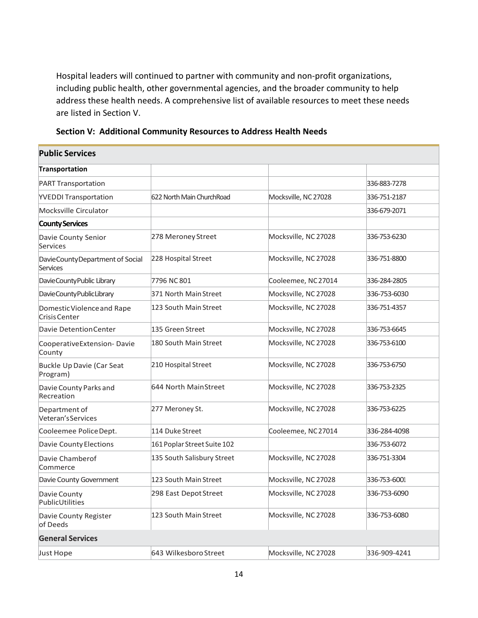Hospital leaders will continued to partner with community and non-profit organizations, including public health, other governmental agencies, and the broader community to help address these health needs. A comprehensive list of available resources to meet these needs are listed in Section V.

| Section V: Additional Community Resources to Address Health Needs |  |
|-------------------------------------------------------------------|--|
|-------------------------------------------------------------------|--|

| <b>Public Services</b>                       |                             |                      |              |
|----------------------------------------------|-----------------------------|----------------------|--------------|
| Transportation                               |                             |                      |              |
| <b>PART Transportation</b>                   |                             |                      | 336-883-7278 |
| <b>YVEDDI Transportation</b>                 | 622 North Main ChurchRoad   | Mocksville, NC 27028 | 336-751-2187 |
| Mocksville Circulator                        |                             |                      | 336-679-2071 |
| <b>County Services</b>                       |                             |                      |              |
| Davie County Senior<br>Services              | 278 Meroney Street          | Mocksville, NC 27028 | 336-753-6230 |
| DavieCountyDepartment of Social<br>Services  | 228 Hospital Street         | Mocksville, NC 27028 | 336-751-8800 |
| DavieCountyPublic Library                    | 7796 NC 801                 | Cooleemee, NC27014   | 336-284-2805 |
| DavieCountyPublicLibrary                     | 371 North Main Street       | Mocksville, NC 27028 | 336-753-6030 |
| Domestic Violence and Rape<br>Crisis Center  | 123 South Main Street       | Mocksville, NC 27028 | 336-751-4357 |
| Davie Detention Center                       | 135 Green Street            | Mocksville, NC 27028 | 336-753-6645 |
| CooperativeExtension-Davie<br>County         | 180 South Main Street       | Mocksville, NC 27028 | 336-753-6100 |
| <b>Buckle Up Davie (Car Seat</b><br>Program) | 210 Hospital Street         | Mocksville, NC 27028 | 336-753-6750 |
| Davie County Parks and<br>Recreation         | 644 North MainStreet        | Mocksville, NC 27028 | 336-753-2325 |
| Department of<br>Veteran's Services          | 277 Meroney St.             | Mocksville, NC 27028 | 336-753-6225 |
| Cooleemee PoliceDept.                        | 114 Duke Street             | Cooleemee, NC27014   | 336-284-4098 |
| Davie County Elections                       | 161 Poplar Street Suite 102 |                      | 336-753-6072 |
| Davie Chamberof<br>Commerce                  | 135 South Salisbury Street  | Mocksville, NC 27028 | 336-751-3304 |
| Davie County Government                      | 123 South Main Street       | Mocksville, NC 27028 | 336-753-6001 |
| Davie County<br>PublicUtilities              | 298 East Depot Street       | Mocksville, NC 27028 | 336-753-6090 |
| Davie County Register<br>of Deeds            | 123 South Main Street       | Mocksville, NC 27028 | 336-753-6080 |
| <b>General Services</b>                      |                             |                      |              |
| Just Hope                                    | 643 Wilkesboro Street       | Mocksville, NC 27028 | 336-909-4241 |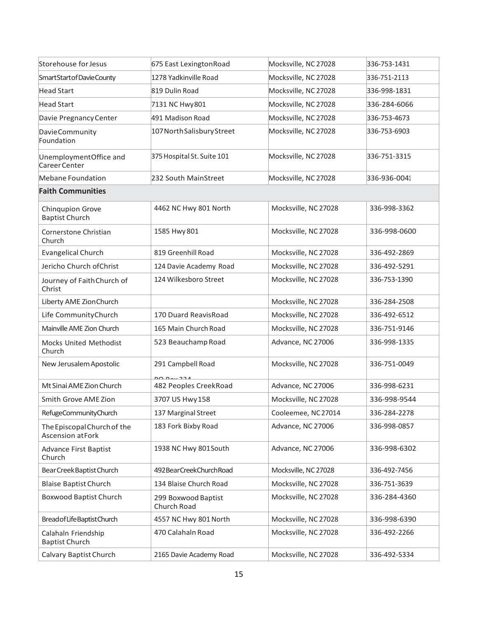| Storehouse for Jesus                                   | 675 East Lexington Road            | Mocksville, NC 27028 | 336-753-1431 |
|--------------------------------------------------------|------------------------------------|----------------------|--------------|
| SmartStartofDavieCounty                                | 1278 Yadkinville Road              | Mocksville, NC 27028 | 336-751-2113 |
| Head Start                                             | 819 Dulin Road                     | Mocksville, NC 27028 | 336-998-1831 |
| <b>Head Start</b>                                      | 7131 NC Hwy 801                    | Mocksville, NC 27028 | 336-284-6066 |
| Davie Pregnancy Center                                 | 491 Madison Road                   | Mocksville, NC 27028 | 336-753-4673 |
| Davie Community<br>Foundation                          | 107 North Salisbury Street         | Mocksville, NC 27028 | 336-753-6903 |
| UnemploymentOffice and<br>Career Center                | 375 Hospital St. Suite 101         | Mocksville, NC 27028 | 336-751-3315 |
| Mebane Foundation                                      | 232 South MainStreet               | Mocksville, NC 27028 | 336-936-0041 |
| <b>Faith Communities</b>                               |                                    |                      |              |
| Chinqupion Grove<br><b>Baptist Church</b>              | 4462 NC Hwy 801 North              | Mocksville, NC 27028 | 336-998-3362 |
| Cornerstone Christian<br>Church                        | 1585 Hwy 801                       | Mocksville, NC 27028 | 336-998-0600 |
| <b>Evangelical Church</b>                              | 819 Greenhill Road                 | Mocksville, NC 27028 | 336-492-2869 |
| Jericho Church of Christ                               | 124 Davie Academy Road             | Mocksville, NC 27028 | 336-492-5291 |
| Journey of Faith Church of<br>Christ                   | 124 Wilkesboro Street              | Mocksville, NC 27028 | 336-753-1390 |
| Liberty AME Zion Church                                |                                    | Mocksville, NC 27028 | 336-284-2508 |
| Life CommunityChurch                                   | 170 Duard ReavisRoad               | Mocksville, NC 27028 | 336-492-6512 |
| Mainville AME Zion Church                              | 165 Main Church Road               | Mocksville, NC 27028 | 336-751-9146 |
| Mocks United Methodist<br>Church                       | 523 Beauchamp Road                 | Advance, NC 27006    | 336-998-1335 |
| New Jerusalem Apostolic                                | 291 Campbell Road                  | Mocksville, NC 27028 | 336-751-0049 |
| Mt Sinai AME Zion Church                               | 482 Peoples CreekRoad              | Advance, NC 27006    | 336-998-6231 |
| Smith Grove AME Zion                                   | 3707 US Hwy 158                    | Mocksville, NC 27028 | 336-998-9544 |
| RefugeCommunityChurch                                  | 137 Marginal Street                | Cooleemee, NC27014   | 336-284-2278 |
| The Episcopal Church of the<br><b>Ascension atFork</b> | 183 Fork Bixby Road                | Advance, NC 27006    | 336-998-0857 |
| <b>Advance First Baptist</b><br>Church                 | 1938 NC Hwy 801 South              | Advance, NC 27006    | 336-998-6302 |
| Bear Creek Baptist Church                              | 492 Bear Creek Church Road         | Mocksville, NC 27028 | 336-492-7456 |
| <b>Blaise Baptist Church</b>                           | 134 Blaise Church Road             | Mocksville, NC 27028 | 336-751-3639 |
| <b>Boxwood Baptist Church</b>                          | 299 Boxwood Baptist<br>Church Road | Mocksville, NC 27028 | 336-284-4360 |
| Bread of Life Baptist Church                           | 4557 NC Hwy 801 North              | Mocksville, NC 27028 | 336-998-6390 |
| Calahaln Friendship<br><b>Baptist Church</b>           | 470 Calahaln Road                  | Mocksville, NC 27028 | 336-492-2266 |
| Calvary Baptist Church                                 | 2165 Davie Academy Road            | Mocksville, NC 27028 | 336-492-5334 |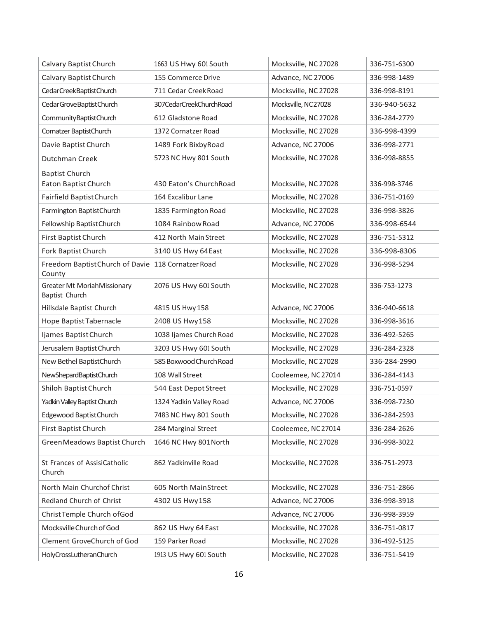| Calvary Baptist Church                        | 1663 US Hwy 601 South   | Mocksville, NC 27028 | 336-751-6300 |
|-----------------------------------------------|-------------------------|----------------------|--------------|
| Calvary Baptist Church                        | 155 Commerce Drive      | Advance, NC 27006    | 336-998-1489 |
| CedarCreekBaptistChurch                       | 711 Cedar Creek Road    | Mocksville, NC 27028 | 336-998-8191 |
| Cedar Grove Baptist Church                    | 307CedarCreekChurchRoad | Mocksville, NC27028  | 336-940-5632 |
| Community Baptist Church                      | 612 Gladstone Road      | Mocksville, NC 27028 | 336-284-2779 |
| Cornatzer BaptistChurch                       | 1372 Cornatzer Road     | Mocksville, NC 27028 | 336-998-4399 |
| Davie Baptist Church                          | 1489 Fork BixbyRoad     | Advance, NC 27006    | 336-998-2771 |
| Dutchman Creek                                | 5723 NC Hwy 801 South   | Mocksville, NC 27028 | 336-998-8855 |
| <b>Baptist Church</b>                         |                         |                      |              |
| Eaton Baptist Church                          | 430 Eaton's ChurchRoad  | Mocksville, NC 27028 | 336-998-3746 |
| Fairfield BaptistChurch                       | 164 Excalibur Lane      | Mocksville, NC 27028 | 336-751-0169 |
| Farmington BaptistChurch                      | 1835 Farmington Road    | Mocksville, NC 27028 | 336-998-3826 |
| Fellowship Baptist Church                     | 1084 Rainbow Road       | Advance, NC 27006    | 336-998-6544 |
| First Baptist Church                          | 412 North Main Street   | Mocksville, NC 27028 | 336-751-5312 |
| Fork Baptist Church                           | 3140 US Hwy 64East      | Mocksville, NC 27028 | 336-998-8306 |
| Freedom Baptist Church of Davie<br>County     | 118 Cornatzer Road      | Mocksville, NC 27028 | 336-998-5294 |
| Greater Mt MoriahMissionary<br>Baptist Church | 2076 US Hwy 601 South   | Mocksville, NC 27028 | 336-753-1273 |
| Hillsdale Baptist Church                      | 4815 US Hwy 158         | Advance, NC 27006    | 336-940-6618 |
| Hope Baptist Tabernacle                       | 2408 US Hwy158          | Mocksville, NC 27028 | 336-998-3616 |
| Ijames Baptist Church                         | 1038 Ijames Church Road | Mocksville, NC 27028 | 336-492-5265 |
| Jerusalem Baptist Church                      | 3203 US Hwy 601 South   | Mocksville, NC 27028 | 336-284-2328 |
| New Bethel BaptistChurch                      | 585 Boxwood Church Road | Mocksville, NC 27028 | 336-284-2990 |
| NewShepardBaptistChurch                       | 108 Wall Street         | Cooleemee, NC27014   | 336-284-4143 |
| Shiloh Baptist Church                         | 544 East Depot Street   | Mocksville, NC 27028 | 336-751-0597 |
| Yadkin Valley Baptist Church                  | 1324 Yadkin Valley Road | Advance, NC 27006    | 336-998-7230 |
| Edgewood Baptist Church                       | 7483 NC Hwy 801 South   | Mocksville, NC 27028 | 336-284-2593 |
| First Baptist Church                          | 284 Marginal Street     | Cooleemee, NC 27014  | 336-284-2626 |
| Green Meadows Baptist Church                  | 1646 NC Hwy 801 North   | Mocksville, NC 27028 | 336-998-3022 |
| St Frances of AssisiCatholic<br>Church        | 862 Yadkinville Road    | Mocksville, NC 27028 | 336-751-2973 |
| North Main Churchof Christ                    | 605 North MainStreet    | Mocksville, NC 27028 | 336-751-2866 |
| Redland Church of Christ                      | 4302 US Hwy158          | Advance, NC 27006    | 336-998-3918 |
| Christ Temple Church of God                   |                         | Advance, NC 27006    | 336-998-3959 |
| Mocksville Church of God                      | 862 US Hwy 64 East      | Mocksville, NC 27028 | 336-751-0817 |
| Clement GroveChurch of God                    | 159 Parker Road         | Mocksville, NC 27028 | 336-492-5125 |
| HolyCrossLutheranChurch                       | 1913 US Hwy 601 South   | Mocksville, NC 27028 | 336-751-5419 |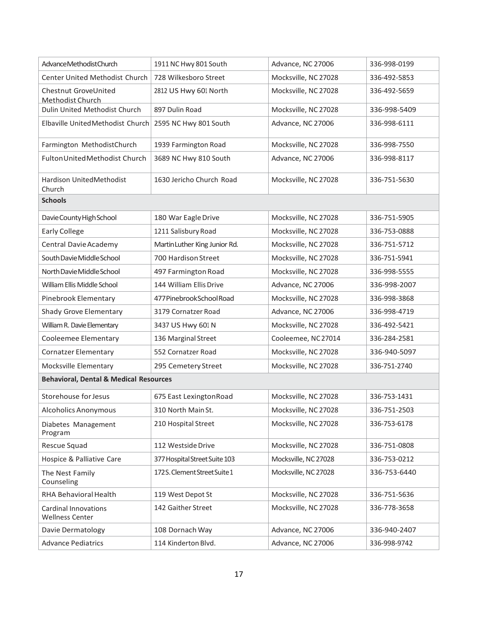| AdvanceMethodistChurch                                | 1911 NC Hwy 801 South         | Advance, NC 27006    | 336-998-0199 |
|-------------------------------------------------------|-------------------------------|----------------------|--------------|
| Center United Methodist Church                        | 728 Wilkesboro Street         | Mocksville, NC 27028 | 336-492-5853 |
| Chestnut GroveUnited<br><b>Methodist Church</b>       | 2812 US Hwy 601 North         | Mocksville, NC 27028 | 336-492-5659 |
| Dulin United Methodist Church                         | 897 Dulin Road                | Mocksville, NC 27028 | 336-998-5409 |
| Elbaville UnitedMethodist Church                      | 2595 NC Hwy 801 South         | Advance, NC 27006    | 336-998-6111 |
| Farmington MethodistChurch                            | 1939 Farmington Road          | Mocksville, NC 27028 | 336-998-7550 |
| Fulton United Methodist Church                        | 3689 NC Hwy 810 South         | Advance, NC 27006    | 336-998-8117 |
| Hardison UnitedMethodist<br>Church                    | 1630 Jericho Church Road      | Mocksville, NC 27028 | 336-751-5630 |
| <b>Schools</b>                                        |                               |                      |              |
| Davie County High School                              | 180 War Eagle Drive           | Mocksville, NC 27028 | 336-751-5905 |
| <b>Early College</b>                                  | 1211 Salisbury Road           | Mocksville, NC 27028 | 336-753-0888 |
| Central Davie Academy                                 | Martin Luther King Junior Rd. | Mocksville, NC 27028 | 336-751-5712 |
| South Davie Middle School                             | 700 Hardison Street           | Mocksville, NC 27028 | 336-751-5941 |
| North Davie Middle School                             | 497 Farmington Road           | Mocksville, NC 27028 | 336-998-5555 |
| William Ellis Middle School                           | 144 William Ellis Drive       | Advance, NC 27006    | 336-998-2007 |
| Pinebrook Elementary                                  | 477 Pinebrook School Road     | Mocksville, NC 27028 | 336-998-3868 |
| <b>Shady Grove Elementary</b>                         | 3179 Cornatzer Road           | Advance, NC 27006    | 336-998-4719 |
| William R. Davie Elementary                           | 3437 US Hwy 601 N             | Mocksville, NC 27028 | 336-492-5421 |
| Cooleemee Elementary                                  | 136 Marginal Street           | Cooleemee, NC27014   | 336-284-2581 |
| <b>Cornatzer Elementary</b>                           | 552 Cornatzer Road            | Mocksville, NC 27028 | 336-940-5097 |
| Mocksville Elementary                                 | 295 Cemetery Street           | Mocksville, NC 27028 | 336-751-2740 |
| <b>Behavioral, Dental &amp; Medical Resources</b>     |                               |                      |              |
| Storehouse for Jesus                                  | 675 East LexingtonRoad        | Mocksville, NC 27028 | 336-753-1431 |
| <b>Alcoholics Anonymous</b>                           | 310 North Main St.            | Mocksville, NC 27028 | 336-751-2503 |
| Diabetes Management<br>Program                        | 210 Hospital Street           | Mocksville, NC 27028 | 336-753-6178 |
| Rescue Squad                                          | 112 Westside Drive            | Mocksville, NC 27028 | 336-751-0808 |
| Hospice & Palliative Care                             | 377 Hospital Street Suite 103 | Mocksville, NC 27028 | 336-753-0212 |
| The Nest Family<br>Counseling                         | 172S. Clement Street Suite 1  | Mocksville, NC 27028 | 336-753-6440 |
| RHA Behavioral Health                                 | 119 West Depot St             | Mocksville, NC 27028 | 336-751-5636 |
| <b>Cardinal Innovations</b><br><b>Wellness Center</b> | 142 Gaither Street            | Mocksville, NC 27028 | 336-778-3658 |
| Davie Dermatology                                     | 108 Dornach Way               | Advance, NC 27006    | 336-940-2407 |
| <b>Advance Pediatrics</b>                             | 114 Kinderton Blvd.           | Advance, NC 27006    | 336-998-9742 |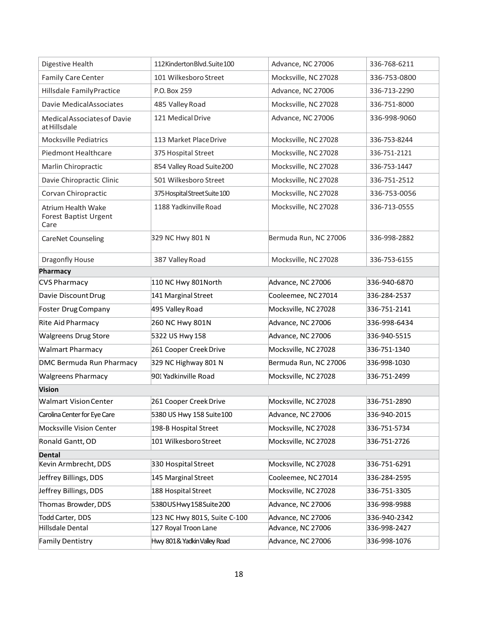| Digestive Health                                                  | 112KindertonBlvd.Suite100     | Advance, NC 27006     | 336-768-6211 |
|-------------------------------------------------------------------|-------------------------------|-----------------------|--------------|
| Family Care Center                                                | 101 Wilkesboro Street         | Mocksville, NC 27028  | 336-753-0800 |
| Hillsdale FamilyPractice                                          | P.O. Box 259                  | Advance, NC 27006     | 336-713-2290 |
| Davie MedicalAssociates                                           | 485 Valley Road               | Mocksville, NC 27028  | 336-751-8000 |
| Medical Associates of Davie<br>at Hillsdale                       | 121 Medical Drive             | Advance, NC 27006     | 336-998-9060 |
| <b>Mocksville Pediatrics</b>                                      | 113 Market PlaceDrive         | Mocksville, NC 27028  | 336-753-8244 |
| Piedmont Healthcare                                               | 375 Hospital Street           | Mocksville, NC 27028  | 336-751-2121 |
| Marlin Chiropractic                                               | 854 Valley Road Suite200      | Mocksville, NC 27028  | 336-753-1447 |
| Davie Chiropractic Clinic                                         | 501 Wilkesboro Street         | Mocksville, NC 27028  | 336-751-2512 |
| Corvan Chiropractic                                               | 375 Hospital Street Suite 100 | Mocksville, NC 27028  | 336-753-0056 |
| <b>Atrium Health Wake</b><br><b>Forest Baptist Urgent</b><br>Care | 1188 Yadkinville Road         | Mocksville, NC 27028  | 336-713-0555 |
| CareNet Counseling                                                | 329 NC Hwy 801 N              | Bermuda Run, NC 27006 | 336-998-2882 |
| Dragonfly House                                                   | 387 Valley Road               | Mocksville, NC 27028  | 336-753-6155 |
| Pharmacy                                                          |                               |                       |              |
| <b>CVS Pharmacy</b>                                               | 110 NC Hwy 801 North          | Advance, NC 27006     | 336-940-6870 |
| Davie Discount Drug                                               | 141 Marginal Street           | Cooleemee, NC 27014   | 336-284-2537 |
| Foster Drug Company                                               | 495 Valley Road               | Mocksville, NC 27028  | 336-751-2141 |
| Rite Aid Pharmacy                                                 | 260 NC Hwy 801N               | Advance, NC 27006     | 336-998-6434 |
| <b>Walgreens Drug Store</b>                                       | 5322 US Hwy 158               | Advance, NC 27006     | 336-940-5515 |
| <b>Walmart Pharmacy</b>                                           | 261 Cooper Creek Drive        | Mocksville, NC 27028  | 336-751-1340 |
| DMC Bermuda Run Pharmacy                                          | 329 NC Highway 801 N          | Bermuda Run, NC 27006 | 336-998-1030 |
| <b>Walgreens Pharmacy</b>                                         | 901 Yadkinville Road          | Mocksville, NC 27028  | 336-751-2499 |
| <b>Vision</b>                                                     |                               |                       |              |
| <b>Walmart Vision Center</b>                                      | 261 Cooper Creek Drive        | Mocksville, NC 27028  | 336-751-2890 |
| Carolina Center for Eye Care                                      | 5380 US Hwy 158 Suite100      | Advance, NC 27006     | 336-940-2015 |
| Mocksville Vision Center                                          | 198-B Hospital Street         | Mocksville, NC 27028  | 336-751-5734 |
| Ronald Gantt, OD                                                  | 101 Wilkesboro Street         | Mocksville, NC 27028  | 336-751-2726 |
| <b>Dental</b>                                                     |                               |                       |              |
| Kevin Armbrecht, DDS                                              | 330 Hospital Street           | Mocksville, NC 27028  | 336-751-6291 |
| Jeffrey Billings, DDS                                             | 145 Marginal Street           | Cooleemee, NC 27014   | 336-284-2595 |
| Jeffrey Billings, DDS                                             | 188 Hospital Street           | Mocksville, NC 27028  | 336-751-3305 |
| Thomas Browder, DDS                                               | 5380USHwy158Suite200          | Advance, NC 27006     | 336-998-9988 |
| Todd Carter, DDS                                                  | 123 NC Hwy 801S, Suite C-100  | Advance, NC 27006     | 336-940-2342 |
| Hillsdale Dental                                                  | 127 Royal Troon Lane          | Advance, NC 27006     | 336-998-2427 |
| Family Dentistry                                                  | Hwy 801& Yadkin Valley Road   | Advance, NC 27006     | 336-998-1076 |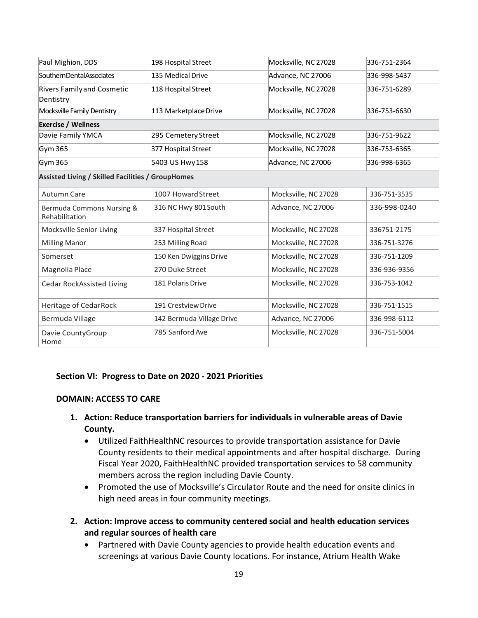| Paul Mighion, DDS                                 | 198 Hospital Street       | Mocksville, NC 27028 | 336-751-2364 |
|---------------------------------------------------|---------------------------|----------------------|--------------|
| SouthernDentalAssociates                          | 135 Medical Drive         | Advance, NC 27006    | 336-998-5437 |
| <b>Rivers Family and Cosmetic</b>                 | 118 Hospital Street       | Mocksville, NC 27028 | 336-751-6289 |
| Dentistry                                         |                           |                      |              |
| Mocksville Family Dentistry                       | 113 Marketplace Drive     | Mocksville, NC 27028 | 336-753-6630 |
| <b>Exercise / Wellness</b>                        |                           |                      |              |
| Davie Family YMCA                                 | 295 Cemetery Street       | Mocksville, NC 27028 | 336-751-9622 |
| Gym 365                                           | 377 Hospital Street       | Mocksville, NC 27028 | 336-753-6365 |
| Gym 365                                           | 5403 US Hwy158            | Advance, NC 27006    | 336-998-6365 |
| Assisted Living / Skilled Facilities / GroupHomes |                           |                      |              |
| <b>Autumn Care</b>                                | 1007 Howard Street        | Mocksville, NC 27028 | 336-751-3535 |
| Bermuda Commons Nursing &<br>Rehabilitation       | 316 NC Hwy 801 South      | Advance, NC 27006    | 336-998-0240 |
| Mocksville Senior Living                          | 337 Hospital Street       | Mocksville, NC 27028 | 336751-2175  |
| <b>Milling Manor</b>                              | 253 Milling Road          | Mocksville, NC 27028 | 336-751-3276 |
| Somerset                                          | 150 Ken Dwiggins Drive    | Mocksville, NC 27028 | 336-751-1209 |
| Magnolia Place                                    | 270 Duke Street           | Mocksville, NC 27028 | 336-936-9356 |
| <b>Cedar RockAssisted Living</b>                  | 181 Polaris Drive         | Mocksville, NC 27028 | 336-753-1042 |
| Heritage of CedarRock                             | 191 Crestview Drive       | Mocksville, NC 27028 | 336-751-1515 |
| Bermuda Village                                   | 142 Bermuda Village Drive | Advance, NC 27006    | 336-998-6112 |
| Davie CountyGroup<br>Home                         | 785 Sanford Ave           | Mocksville, NC 27028 | 336-751-5004 |

#### **Section VI: Progress to Date on 2020 - 2021 Priorities**

#### **DOMAIN: ACCESS TO CARE**

- **1. Action: Reduce transportation barriers for individuals in vulnerable areas of Davie County.**
	- Utilized FaithHealthNC resources to provide transportation assistance for Davie County residents to their medical appointments and after hospital discharge. During Fiscal Year 2020, FaithHealthNC provided transportation services to 58 community members across the region including Davie County.
	- Promoted the use of Mocksville's Circulator Route and the need for onsite clinics in high need areas in four community meetings.
- **2. Action: Improve access to community centered social and health education services and regular sources of health care** 
	- Partnered with Davie County agencies to provide health education events and screenings at various Davie County locations. For instance, Atrium Health Wake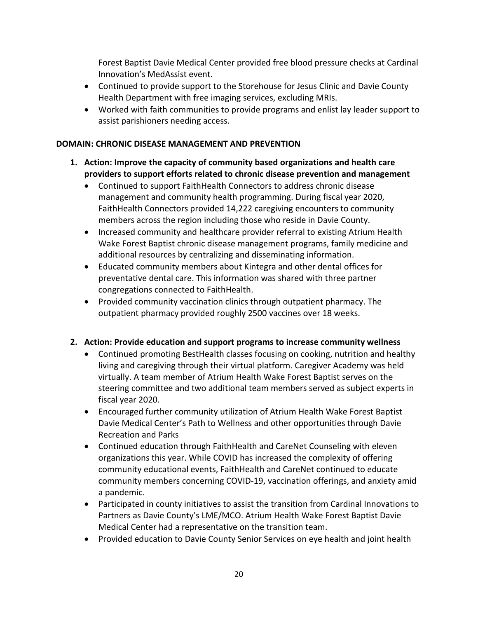Forest Baptist Davie Medical Center provided free blood pressure checks at Cardinal Innovation's MedAssist event.

- Continued to provide support to the Storehouse for Jesus Clinic and Davie County Health Department with free imaging services, excluding MRIs.
- Worked with faith communities to provide programs and enlist lay leader support to assist parishioners needing access.

## **DOMAIN: CHRONIC DISEASE MANAGEMENT AND PREVENTION**

- **1. Action: Improve the capacity of community based organizations and health care providers to support efforts related to chronic disease prevention and management** 
	- Continued to support FaithHealth Connectors to address chronic disease management and community health programming. During fiscal year 2020, FaithHealth Connectors provided 14,222 caregiving encounters to community members across the region including those who reside in Davie County.
	- Increased community and healthcare provider referral to existing Atrium Health Wake Forest Baptist chronic disease management programs, family medicine and additional resources by centralizing and disseminating information.
	- Educated community members about Kintegra and other dental offices for preventative dental care. This information was shared with three partner congregations connected to FaithHealth.
	- Provided community vaccination clinics through outpatient pharmacy. The outpatient pharmacy provided roughly 2500 vaccines over 18 weeks.

# **2. Action: Provide education and support programs to increase community wellness**

- Continued promoting BestHealth classes focusing on cooking, nutrition and healthy living and caregiving through their virtual platform. Caregiver Academy was held virtually. A team member of Atrium Health Wake Forest Baptist serves on the steering committee and two additional team members served as subject experts in fiscal year 2020.
- Encouraged further community utilization of Atrium Health Wake Forest Baptist Davie Medical Center's Path to Wellness and other opportunities through Davie Recreation and Parks
- Continued education through FaithHealth and CareNet Counseling with eleven organizations this year. While COVID has increased the complexity of offering community educational events, FaithHealth and CareNet continued to educate community members concerning COVID-19, vaccination offerings, and anxiety amid a pandemic.
- Participated in county initiatives to assist the transition from Cardinal Innovations to Partners as Davie County's LME/MCO. Atrium Health Wake Forest Baptist Davie Medical Center had a representative on the transition team.
- Provided education to Davie County Senior Services on eye health and joint health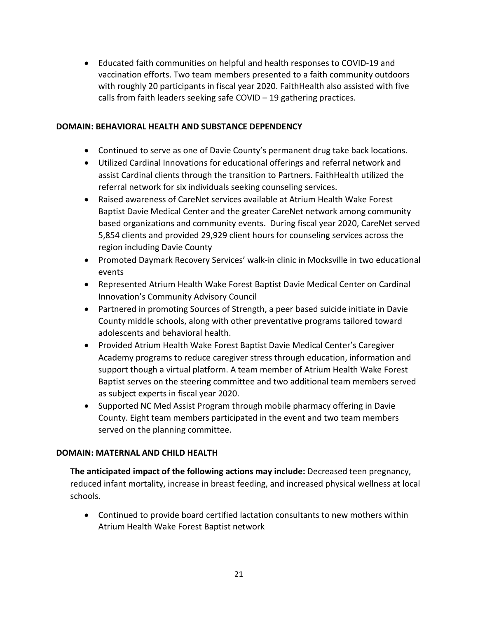• Educated faith communities on helpful and health responses to COVID-19 and vaccination efforts. Two team members presented to a faith community outdoors with roughly 20 participants in fiscal year 2020. FaithHealth also assisted with five calls from faith leaders seeking safe COVID – 19 gathering practices.

#### **DOMAIN: BEHAVIORAL HEALTH AND SUBSTANCE DEPENDENCY**

- Continued to serve as one of Davie County's permanent drug take back locations.
- Utilized Cardinal Innovations for educational offerings and referral network and assist Cardinal clients through the transition to Partners. FaithHealth utilized the referral network for six individuals seeking counseling services.
- Raised awareness of CareNet services available at Atrium Health Wake Forest Baptist Davie Medical Center and the greater CareNet network among community based organizations and community events. During fiscal year 2020, CareNet served 5,854 clients and provided 29,929 client hours for counseling services across the region including Davie County
- Promoted Daymark Recovery Services' walk-in clinic in Mocksville in two educational events
- Represented Atrium Health Wake Forest Baptist Davie Medical Center on Cardinal Innovation's Community Advisory Council
- Partnered in promoting Sources of Strength, a peer based suicide initiate in Davie County middle schools, along with other preventative programs tailored toward adolescents and behavioral health.
- Provided Atrium Health Wake Forest Baptist Davie Medical Center's Caregiver Academy programs to reduce caregiver stress through education, information and support though a virtual platform. A team member of Atrium Health Wake Forest Baptist serves on the steering committee and two additional team members served as subject experts in fiscal year 2020.
- Supported NC Med Assist Program through mobile pharmacy offering in Davie County. Eight team members participated in the event and two team members served on the planning committee.

#### **DOMAIN: MATERNAL AND CHILD HEALTH**

**The anticipated impact of the following actions may include:** Decreased teen pregnancy, reduced infant mortality, increase in breast feeding, and increased physical wellness at local schools.

• Continued to provide board certified lactation consultants to new mothers within Atrium Health Wake Forest Baptist network